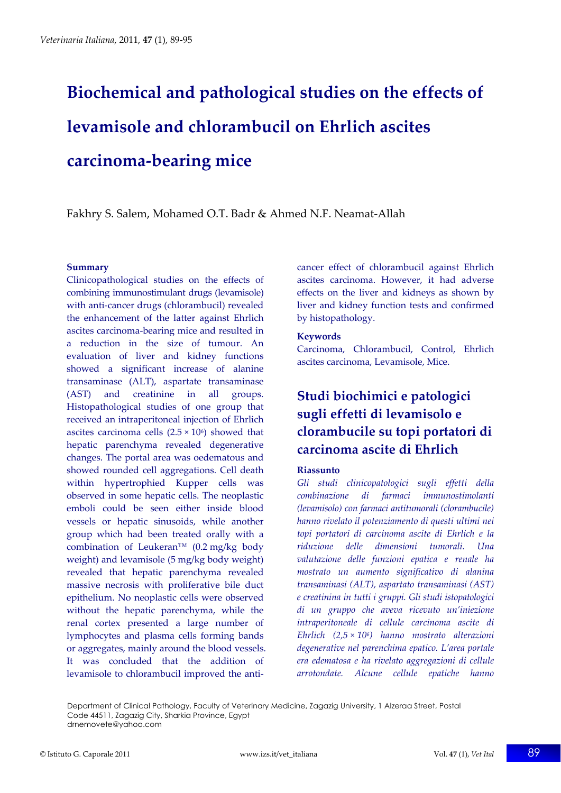# **Biochemical and pathological studies on the effects of levamisole and chlorambucil on Ehrlich ascites carcinoma‐bearing mice**

Fakhry S. Salem, Mohamed O.T. Badr & Ahmed N.F. Neamat‐Allah

#### **Summary**

Clinicopathological studies on the effects of combining immunostimulant drugs (levamisole) with anti-cancer drugs (chlorambucil) revealed the enhancement of the latter against Ehrlich ascites carcinoma‐bearing mice and resulted in a reduction in the size of tumour. An evaluation of liver and kidney functions showed a significant increase of alanine transaminase (ALT), aspartate transaminase (AST) and creatinine in all groups. Histopathological studies of one group that received an intraperitoneal injection of Ehrlich ascites carcinoma cells  $(2.5 \times 10^6)$  showed that hepatic parenchyma revealed degenerative changes. The portal area was oedematous and showed rounded cell aggregations. Cell death within hypertrophied Kupper cells was observed in some hepatic cells. The neoplastic emboli could be seen either inside blood vessels or hepatic sinusoids, while another group which had been treated orally with a combination of Leukeran™ (0.2 mg/kg body weight) and levamisole (5 mg/kg body weight) revealed that hepatic parenchyma revealed massive necrosis with proliferative bile duct epithelium. No neoplastic cells were observed without the hepatic parenchyma, while the renal cortex presented a large number of lymphocytes and plasma cells forming bands or aggregates, mainly around the blood vessels. It was concluded that the addition of levamisole to chlorambucil improved the anti‐

cancer effect of chlorambucil against Ehrlich ascites carcinoma. However, it had adverse effects on the liver and kidneys as shown by liver and kidney function tests and confirmed by histopathology.

#### **Keywords**

Carcinoma, Chlorambucil, Control, Ehrlich ascites carcinoma, Levamisole, Mice.

# **Studi biochimici e patologici sugli effetti di levamisolo e clorambucile su topi portatori di carcinoma ascite di Ehrlich**

#### **Riassunto**

*Gli studi clinicopatologici sugli effetti della combinazione di farmaci immunostimolanti (levamisolo) con farmaci antitumorali (clorambucile) hanno rivelato il potenziamento di questi ultimi nei topi portatori di carcinoma ascite di Ehrlich e la riduzione delle dimensioni tumorali. Una valutazione delle funzioni epatica e renale ha mostrato un aumento significativo di alanina transaminasi (ALT), aspartato transaminasi (AST) e creatinina in tutti i gruppi. Gli studi istopatologici di un gruppo che aveva ricevuto un'iniezione intraperitoneale di cellule carcinoma ascite di Ehrlich (2,5 × 106) hanno mostrato alterazioni degenerative nel parenchima epatico. L'area portale era edematosa e ha rivelato aggregazioni di cellule arrotondate. Alcune cellule epatiche hanno*

Department of Clinical Pathology, Faculty of Veterinary Medicine, Zagazig University, 1 Alzeraa Street, Postal Code 44511, Zagazig City, Sharkia Province, Egypt drnemovete@yahoo.com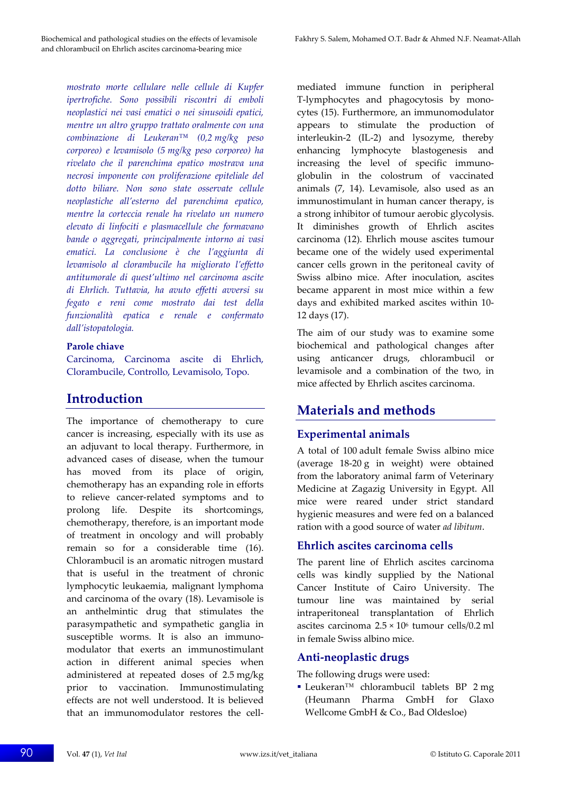*mostrato morte cellulare nelle cellule di Kupfer ipertrofiche. Sono possibili riscontri di emboli neoplastici nei vasi ematici o nei sinusoidi epatici, mentre un altro gruppo trattato oralmente con una combinazione di Leukeran™ (0,2 mg/kg peso corporeo) e levamisolo (5 mg/kg peso corporeo) ha rivelato che il parenchima epatico mostrava una necrosi imponente con proliferazione epiteliale del dotto biliare. Non sono state osservate cellule neoplastiche all'esterno del parenchima epatico, mentre la corteccia renale ha rivelato un numero elevato di linfociti e plasmacellule che formavano bande o aggregati, principalmente intorno ai vasi ematici. La conclusione è che l'aggiunta di levamisolo al clorambucile ha migliorato l'effetto antitumorale di quest'ultimo nel carcinoma ascite di Ehrlich. Tuttavia, ha avuto effetti avversi su fegato e reni come mostrato dai test della funzionalità epatica e renale e confermato dall'istopatologia.*

#### **Parole chiave**

Carcinoma, Carcinoma ascite di Ehrlich, Clorambucile, Controllo, Levamisolo, Topo.

# **Introduction**

The importance of chemotherapy to cure cancer is increasing, especially with its use as an adjuvant to local therapy. Furthermore, in advanced cases of disease, when the tumour has moved from its place of origin, chemotherapy has an expanding role in efforts to relieve cancer‐related symptoms and to prolong life. Despite its shortcomings, chemotherapy, therefore, is an important mode of treatment in oncology and will probably remain so for a considerable time (16). Chlorambucil is an aromatic nitrogen mustard that is useful in the treatment of chronic lymphocytic leukaemia, malignant lymphoma and carcinoma of the ovary (18). Levamisole is an anthelmintic drug that stimulates the parasympathetic and sympathetic ganglia in susceptible worms. It is also an immunomodulator that exerts an immunostimulant action in different animal species when administered at repeated doses of 2.5 mg/kg prior to vaccination. Immunostimulating effects are not well understood. It is believed that an immunomodulator restores the cell‐

mediated immune function in peripheral T‐lymphocytes and phagocytosis by mono‐ cytes (15). Furthermore, an immunomodulator appears to stimulate the production of interleukin‐2 (IL‐2) and lysozyme, thereby enhancing lymphocyte blastogenesis and increasing the level of specific immuno‐ globulin in the colostrum of vaccinated animals (7, 14). Levamisole, also used as an immunostimulant in human cancer therapy, is a strong inhibitor of tumour aerobic glycolysis. It diminishes growth of Ehrlich ascites carcinoma (12). Ehrlich mouse ascites tumour became one of the widely used experimental cancer cells grown in the peritoneal cavity of Swiss albino mice. After inoculation, ascites became apparent in most mice within a few days and exhibited marked ascites within 10‐ 12 days (17).

The aim of our study was to examine some biochemical and pathological changes after using anticancer drugs, chlorambucil or levamisole and a combination of the two, in mice affected by Ehrlich ascites carcinoma.

# **Materials and methods**

# **Experimental animals**

A total of 100 adult female Swiss albino mice (average 18‐20 g in weight) were obtained from the laboratory animal farm of Veterinary Medicine at Zagazig University in Egypt. All mice were reared under strict standard hygienic measures and were fed on a balanced ration with a good source of water *ad libitum*.

# **Ehrlich ascites carcinoma cells**

The parent line of Ehrlich ascites carcinoma cells was kindly supplied by the National Cancer Institute of Cairo University. The tumour line was maintained by serial intraperitoneal transplantation of Ehrlich ascites carcinoma  $2.5 \times 10^6$  tumour cells/0.2 ml in female Swiss albino mice.

# **Anti‐neoplastic drugs**

The following drugs were used:

 Leukeran™ chlorambucil tablets BP 2 mg (Heumann Pharma GmbH for Glaxo Wellcome GmbH & Co., Bad Oldesloe)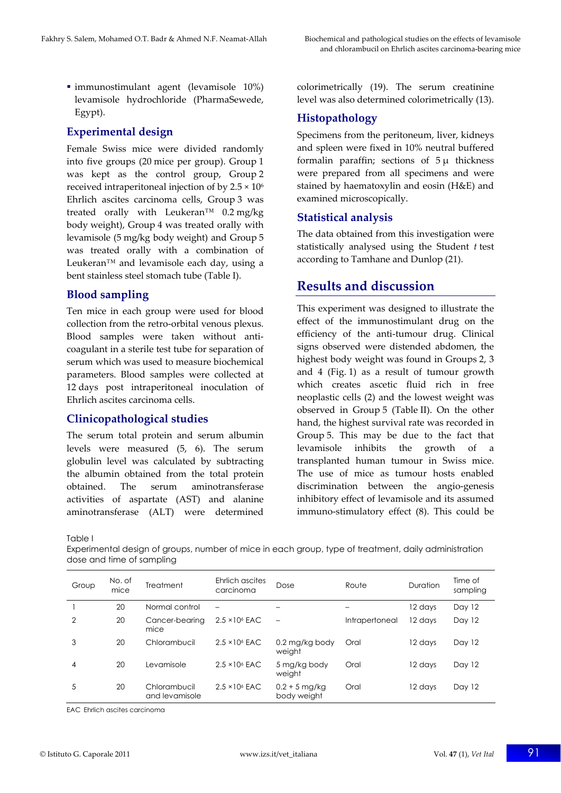immunostimulant agent (levamisole 10%) levamisole hydrochloride (PharmaSewede, Egypt).

## **Experimental design**

Female Swiss mice were divided randomly into five groups (20 mice per group). Group 1 was kept as the control group, Group 2 received intraperitoneal injection of by  $2.5 \times 10^6$ Ehrlich ascites carcinoma cells, Group 3 was treated orally with Leukeran™  $0.2 \text{ mg/kg}$ body weight), Group 4 was treated orally with levamisole (5 mg/kg body weight) and Group 5 was treated orally with a combination of Leukeran™ and levamisole each day, using a bent stainless steel stomach tube (Table I).

### **Blood sampling**

Ten mice in each group were used for blood collection from the retro‐orbital venous plexus. Blood samples were taken without anti‐ coagulant in a sterile test tube for separation of serum which was used to measure biochemical parameters. Blood samples were collected at 12 days post intraperitoneal inoculation of Ehrlich ascites carcinoma cells.

## **Clinicopathological studies**

The serum total protein and serum albumin levels were measured (5, 6). The serum globulin level was calculated by subtracting the albumin obtained from the total protein obtained. The serum aminotransferase activities of aspartate (AST) and alanine aminotransferase (ALT) were determined

colorimetrically (19). The serum creatinine level was also determined colorimetrically (13).

## **Histopathology**

Specimens from the peritoneum, liver, kidneys and spleen were fixed in 10% neutral buffered formalin paraffin; sections of 5 μ thickness were prepared from all specimens and were stained by haematoxylin and eosin (H&E) and examined microscopically.

### **Statistical analysis**

The data obtained from this investigation were statistically analysed using the Student *t* test according to Tamhane and Dunlop (21).

# **Results and discussion**

This experiment was designed to illustrate the effect of the immunostimulant drug on the efficiency of the anti-tumour drug. Clinical signs observed were distended abdomen, the highest body weight was found in Groups 2, 3 and 4 (Fig. 1) as a result of tumour growth which creates ascetic fluid rich in free neoplastic cells (2) and the lowest weight was observed in Group 5 (Table II). On the other hand, the highest survival rate was recorded in Group 5. This may be due to the fact that levamisole inhibits the growth of a transplanted human tumour in Swiss mice. The use of mice as tumour hosts enabled discrimination between the angio‐genesis inhibitory effect of levamisole and its assumed immuno‐stimulatory effect (8). This could be

Table I

Experimental design of groups, number of mice in each group, type of treatment, daily administration dose and time of sampling

| Group         | No. of<br>mice | <b>Treatment</b>               | Ehrlich ascites<br>carcinoma | Dose                           | Route          | Duration | Time of<br>sampling |
|---------------|----------------|--------------------------------|------------------------------|--------------------------------|----------------|----------|---------------------|
|               | 20             | Normal control                 | $\overline{\phantom{0}}$     |                                |                | 12 days  | Day 12              |
| $\mathcal{P}$ | 20             | Cancer-bearing<br>mice         | $2.5 \times 10^6$ EAC        | $\overline{\phantom{0}}$       | Intrapertoneal | 12 davs  | Day 12              |
| 3             | 20             | Chlorambucil                   | $2.5 \times 10^6$ EAC        | 0.2 mg/kg body<br>weight       | Oral           | 12 days  | Day 12              |
| 4             | 20             | Levamisole                     | $2.5 \times 10^6$ EAC        | 5 mg/kg body<br>weight         | Oral           | 12 days  | Day 12              |
| 5             | 20             | Chlorambucil<br>and levamisole | $2.5 \times 10^{6}$ EAC      | $0.2 + 5$ mg/kg<br>body weight | Oral           | 12 days  | Day 12              |

EAC Ehrlich ascites carcinoma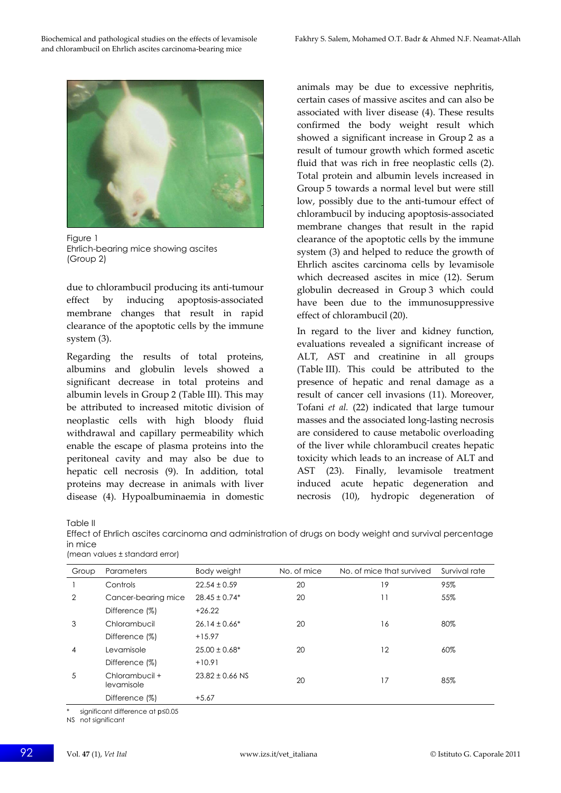

Figure 1 Ehrlich-bearing mice showing ascites (Group 2)

due to chlorambucil producing its anti‐tumour effect by inducing apoptosis‐associated membrane changes that result in rapid clearance of the apoptotic cells by the immune system (3).

Regarding the results of total proteins, albumins and globulin levels showed a significant decrease in total proteins and albumin levels in Group 2 (Table III). This may be attributed to increased mitotic division of neoplastic cells with high bloody fluid withdrawal and capillary permeability which enable the escape of plasma proteins into the peritoneal cavity and may also be due to hepatic cell necrosis (9). In addition, total proteins may decrease in animals with liver disease (4). Hypoalbuminaemia in domestic animals may be due to excessive nephritis, certain cases of massive ascites and can also be associated with liver disease (4). These results confirmed the body weight result which showed a significant increase in Group 2 as a result of tumour growth which formed ascetic fluid that was rich in free neoplastic cells (2). Total protein and albumin levels increased in Group 5 towards a normal level but were still low, possibly due to the anti-tumour effect of chlorambucil by inducing apoptosis‐associated membrane changes that result in the rapid clearance of the apoptotic cells by the immune system (3) and helped to reduce the growth of Ehrlich ascites carcinoma cells by levamisole which decreased ascites in mice (12). Serum globulin decreased in Group 3 which could have been due to the immunosuppressive effect of chlorambucil (20).

In regard to the liver and kidney function, evaluations revealed a significant increase of ALT, AST and creatinine in all groups (Table III). This could be attributed to the presence of hepatic and renal damage as a result of cancer cell invasions (11). Moreover, Tofani *et al.* (22) indicated that large tumour masses and the associated long‐lasting necrosis are considered to cause metabolic overloading of the liver while chlorambucil creates hepatic toxicity which leads to an increase of ALT and AST (23). Finally, levamisole treatment induced acute hepatic degeneration and necrosis (10), hydropic degeneration of

Table II

Effect of Ehrlich ascites carcinoma and administration of drugs on body weight and survival percentage in mice (mean values ± standard error)

| Group | Parameters                   | Body weight         | No. of mice | No. of mice that survived | Survival rate |
|-------|------------------------------|---------------------|-------------|---------------------------|---------------|
|       | Controls                     | $22.54 \pm 0.59$    | 20          | 19                        | 95%           |
| 2     | Cancer-bearing mice          | $28.45 \pm 0.74*$   | 20          | 11                        | 55%           |
|       | Difference (%)               | $+26.22$            |             |                           |               |
| 3     | Chlorambucil                 | $26.14 \pm 0.66*$   | 20          | 16                        | 80%           |
|       | Difference (%)               | $+15.97$            |             |                           |               |
| 4     | Levamisole                   | $25.00 \pm 0.68^*$  | 20          | 12                        | 60%           |
|       | Difference (%)               | $+10.91$            |             |                           |               |
| 5     | Chlorambucil +<br>levamisole | $23.82 \pm 0.66$ NS | 20          | 17                        | 85%           |
|       | Difference (%)               | $+5.67$             |             |                           |               |
|       |                              |                     |             |                           |               |

\* significant difference at *p*≤0.05

NS not significant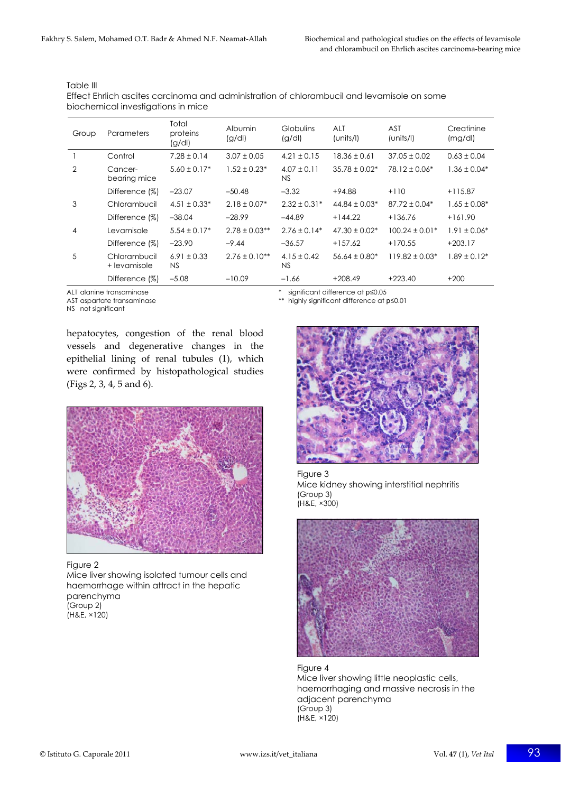| Group          | Parameters                   | Total<br>proteins<br>(g/d)   | Albumin<br>(g/d)  | <b>Globulins</b><br>(g/dl) | <b>ALT</b><br>(units/l) | <b>AST</b><br>(units/l) | Creatinine<br>(mg/d) |
|----------------|------------------------------|------------------------------|-------------------|----------------------------|-------------------------|-------------------------|----------------------|
|                | Control                      | $7.28 \pm 0.14$              | $3.07 \pm 0.05$   | $4.21 \pm 0.15$            | $18.36 \pm 0.61$        | $37.05 \pm 0.02$        | $0.63 \pm 0.04$      |
| $\overline{2}$ | Cancer-<br>bearing mice      | $5.60 \pm 0.17*$             | $1.52 \pm 0.23*$  | $4.07 \pm 0.11$<br>NS.     | $35.78 \pm 0.02^*$      | $78.12 \pm 0.06*$       | $1.36 \pm 0.04*$     |
|                | Difference (%)               | $-23.07$                     | $-50.48$          | $-3.32$                    | $+94.88$                | $+110$                  | $+115.87$            |
| 3              | Chlorambucil                 | $4.51 \pm 0.33*$             | $2.18 \pm 0.07*$  | $2.32 \pm 0.31*$           | $44.84 \pm 0.03*$       | $87.72 \pm 0.04*$       | $1.65 \pm 0.08*$     |
|                | Difference (%)               | $-38.04$                     | $-28.99$          | $-44.89$                   | $+144.22$               | $+136.76$               | $+161.90$            |
| 4              | Levamisole                   | $5.54 \pm 0.17*$             | $2.78 \pm 0.03**$ | $2.76 \pm 0.14*$           | $47.30 \pm 0.02^*$      | $100.24 \pm 0.01*$      | $1.91 \pm 0.06*$     |
|                | Difference (%)               | $-23.90$                     | $-9.44$           | $-36.57$                   | $+157.62$               | $+170.55$               | $+203.17$            |
| 5              | Chlorambucil<br>+ levamisole | $6.91 \pm 0.33$<br><b>NS</b> | $2.76 \pm 0.10**$ | $4.15 \pm 0.42$<br>NS      | $56.64 \pm 0.80*$       | $119.82 \pm 0.03*$      | $1.89 \pm 0.12*$     |
|                | Difference (%)               | $-5.08$                      | $-10.09$          | $-1.66$                    | $+208.49$               | $+223.40$               | $+200$               |

Table III

Effect Ehrlich ascites carcinoma and administration of chlorambucil and levamisole on some biochemical investigations in mice

NS not significant

ALT alanine transaminase **\*** significant difference at *p*≤0.05

AST aspartate transaminase \*\* highly significant difference at *p*≤0.01

hepatocytes, congestion of the renal blood vessels and degenerative changes in the epithelial lining of renal tubules (1), which were confirmed by histopathological studies (Figs 2, 3, 4, 5 and 6).



Figure 2

Mice liver showing isolated tumour cells and haemorrhage within attract in the hepatic parenchyma (Group 2) (H&E, ×120)



Figure 3 Mice kidney showing interstitial nephritis (Group 3) (H&E, ×300)



Figure 4 Mice liver showing little neoplastic cells, haemorrhaging and massive necrosis in the adjacent parenchyma (Group 3) (H&E, ×120)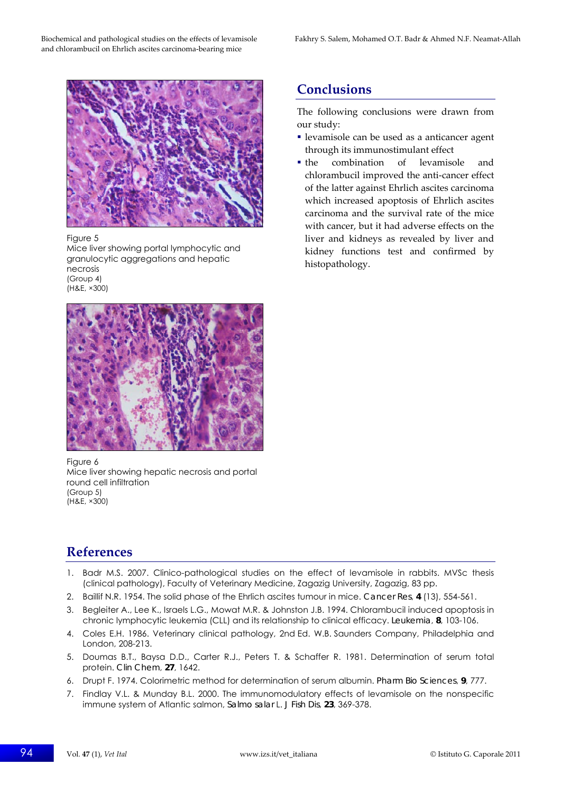

Figure 5

Mice liver showing portal lymphocytic and granulocytic aggregations and hepatic necrosis (Group 4) (H&E, ×300)



Figure 6 Mice liver showing hepatic necrosis and portal round cell infiltration (Group 5) (H&E, ×300)

# **References**

- 1. Badr M.S. 2007. Clinico-pathological studies on the effect of levamisole in rabbits. MVSc thesis (clinical pathology), Faculty of Veterinary Medicine, Zagazig University, Zagazig, 83 pp.
- 2. Baillif N.R. 1954. The solid phase of the Ehrlich ascites tumour in mice. *Cancer Res*, **4** (13), 554-561.
- 3. Begleiter A., Lee K., Israels L.G., Mowat M.R. & Johnston J.B. 1994. Chlorambucil induced apoptosis in chronic lymphocytic leukemia (CLL) and its relationship to clinical efficacy. *Leukemia*, **8**, 103-106.
- 4. Coles E.H. 1986. Veterinary clinical pathology, 2nd Ed. W.B. Saunders Company, Philadelphia and London, 208-213.
- 5. Doumas B.T., Baysa D.D., Carter R.J., Peters T. & Schaffer R. 1981. Determination of serum total protein. *Clin Chem*, **27**, 1642.
- 6. Drupt F. 1974. Colorimetric method for determination of serum albumin. *Pharm Bio Sciences*, **9**, 777.
- 7. Findlay V.L. & Munday B.L. 2000. The immunomodulatory effects of levamisole on the nonspecific immune system of Atlantic salmon, *Salmo salar* L. *J Fish Dis*, **23**, 369-378.

# **Conclusions**

The following conclusions were drawn from our study:

- levamisole can be used as a anticancer agent through its immunostimulant effect
- the combination of levamisole and chlorambucil improved the anti‐cancer effect of the latter against Ehrlich ascites carcinoma which increased apoptosis of Ehrlich ascites carcinoma and the survival rate of the mice with cancer, but it had adverse effects on the liver and kidneys as revealed by liver and kidney functions test and confirmed by histopathology.